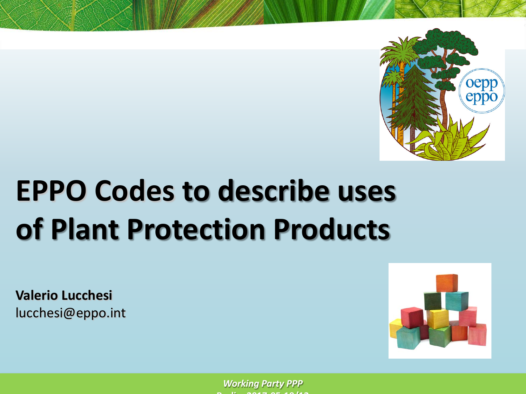

# **EPPO Codes to describe uses of Plant Protection Products**

**Valerio Lucchesi** lucchesi@eppo.int



*Working Party PPP* **B li 2017 05 10/12**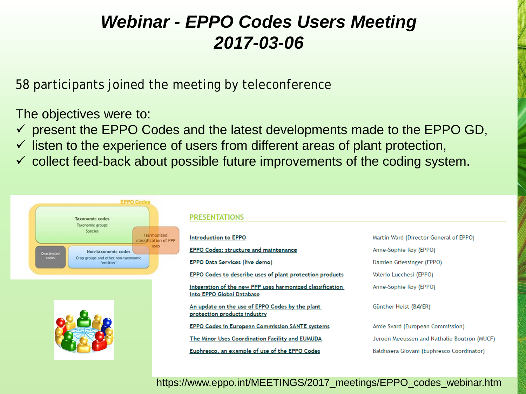## *Webinar - EPPO Codes Users Meeting 2017-03-06*

58 participants joined the meeting by teleconference

The objectives were to:

- $\checkmark$  present the EPPO Codes and the latest developments made to the EPPO GD,
- $\checkmark$  listen to the experience of users from different areas of plant protection,
- $\checkmark$  collect feed-back about possible future improvements of the coding system.





### **PRESENTATIONS**

#### **Introduction to EPPO**

EPPO Codes: structure and maintenance

EPPO Data Services (live demo)

**EPPO Codes to describe uses of plant protection products** 

Integration of the new PPP uses harmonized classification into EPPO Global Database

An update on the use of EPPO Codes by the plant protection products industry

**EPPO Codes in European Commission SANTE systems** 

The Minor Uses Coordination Facility and EUMUDA

Euphresco, an example of use of the EPPO Codes

Martin Ward (Director General of EPPO) Anne-Sophie Roy (EPPO) Damien Griessinger (EPPO) Valerio Lucchesi (EPPO) Anne-Sophie Roy (EPPO)

Günther Heist (BAYER)

Amie Svard (European Commission) Jeroen Meeussen and Nathalie Boutron (MUCF) Baldissera Giovani (Euphresco Coordinator)

### https://www.eppo.int/MEETINGS/2017\_meetings/EPPO\_codes\_webinar.htm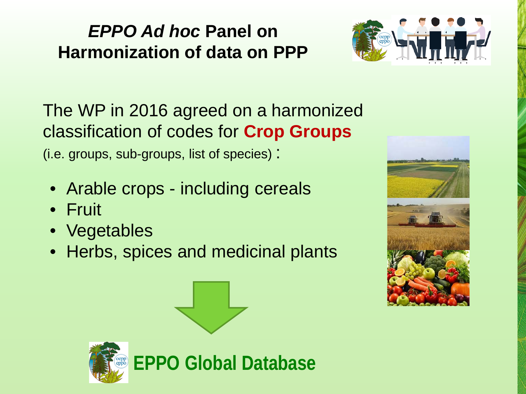

The WP in 2016 agreed on a harmonized classification of codes for **Crop Groups**

(i.e. groups, sub-groups, list of species) :

- Arable crops including cereals
- Fruit
- Vegetables
- Herbs, spices and medicinal plants



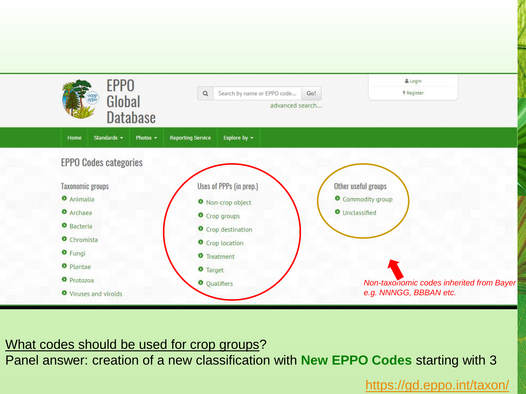

### What codes should be used for crop groups?

Panel answer: creation of a new classification with **New EPPO Codes** starting with 3

### <https://gd.eppo.int/taxon/>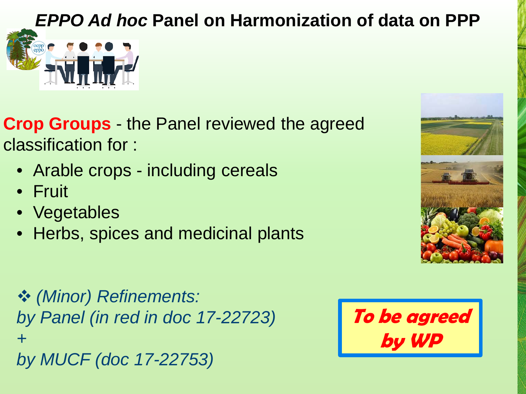

**Crop Groups** - the Panel reviewed the agreed classification for :

- Arable crops including cereals
- Fruit
- Vegetables
- Herbs, spices and medicinal plants

 *(Minor) Refinements: by Panel (in red in doc 17-22723) + by MUCF (doc 17-22753)*



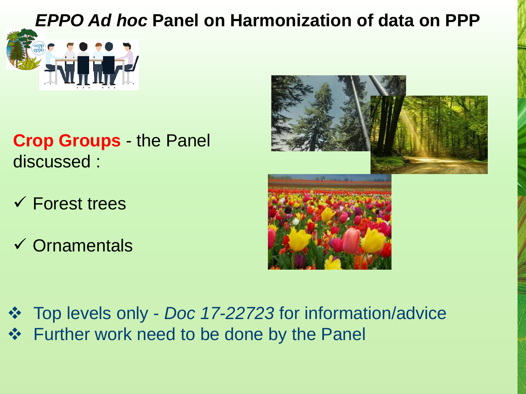

- **Crop Groups**  the Panel discussed :
- $\checkmark$  Forest trees
- $\checkmark$  Ornamentals



 Top levels only - *Doc 17-22723* for information/advice ❖ Further work need to be done by the Panel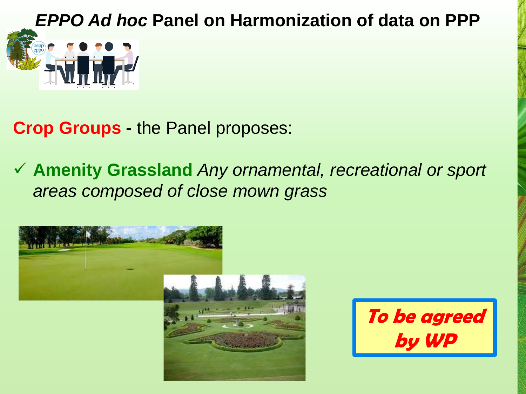**Crop Groups -** the Panel proposes:

 **Amenity Grassland** *Any ornamental, recreational or sport areas composed of close mown grass*



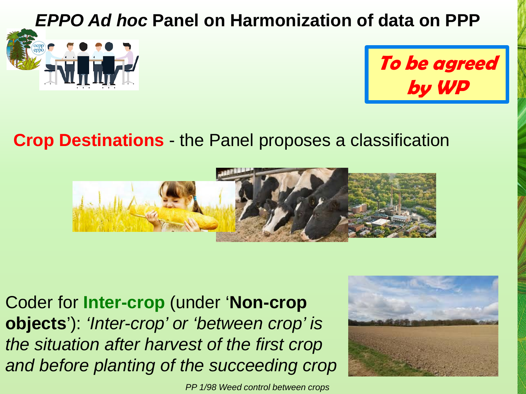



## **Crop Destinations** - the Panel proposes a classification



Coder for **Inter-crop** (under '**Non-crop objects**'): *'Inter-crop' or 'between crop' is the situation after harvest of the first crop and before planting of the succeeding crop* 



*PP 1/98 Weed control between crops*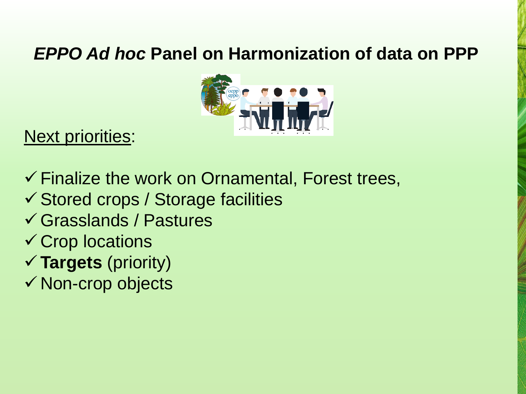

## Next priorities:

 $\checkmark$  Finalize the work on Ornamental, Forest trees,

- Stored crops / Storage facilities
- Grasslands / Pastures
- $\checkmark$  Crop locations
- **Targets** (priority)
- $\checkmark$  Non-crop objects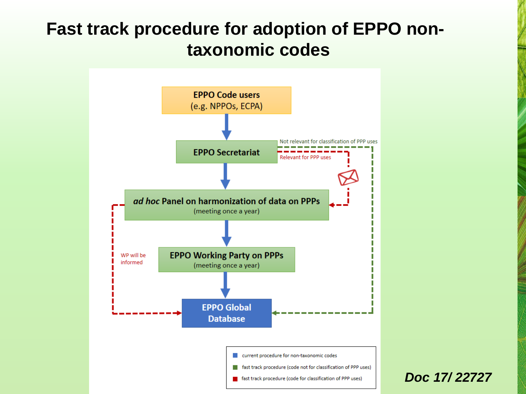## **Fast track procedure for adoption of EPPO nontaxonomic codes**



*Doc 17/ 22727*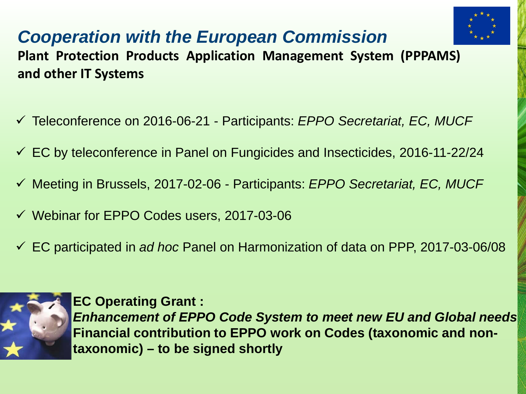

## *Cooperation with the European Commission*

**Plant Protection Products Application Management System (PPPAMS) and other IT Systems**

- Teleconference on 2016-06-21 Participants: *EPPO Secretariat, EC, MUCF*
- $\checkmark$  EC by teleconference in Panel on Fungicides and Insecticides, 2016-11-22/24
- Meeting in Brussels, 2017-02-06 Participants: *EPPO Secretariat, EC, MUCF*
- Webinar for EPPO Codes users, 2017-03-06
- EC participated in *ad hoc* Panel on Harmonization of data on PPP, 2017-03-06/08



**EC Operating Grant :** *Enhancement of EPPO Code System to meet new EU and Global needs* **Financial contribution to EPPO work on Codes (taxonomic and nontaxonomic) – to be signed shortly**